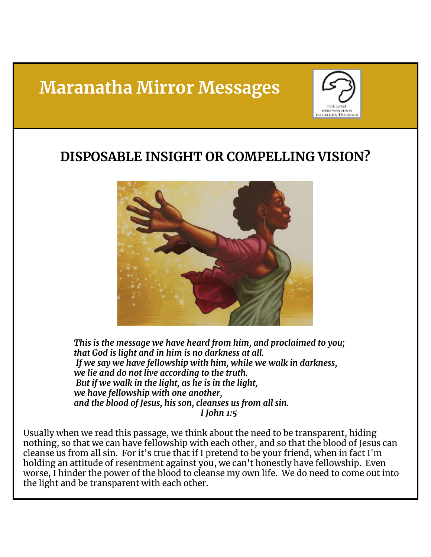# **Maranatha Mirror Messages**



## **DISPOSABLE INSIGHT OR COMPELLING VISION?**



*This is the message we have heard from him, and proclaimed to you; that God is light and in him is no darkness at all. If we say we have fellowship with him, while we walk in darkness, we lie and do not live according to the truth. But if we walk in the light, as he is in the light, we have fellowship with one another, and the blood of Jesus, his son, cleanses us from all sin. I John 1:5*

Usually when we read this passage, we think about the need to be transparent, hiding nothing, so that we can have fellowship with each other, and so that the blood of Jesus can cleanse us from all sin. For it's true that if I pretend to be your friend, when in fact I'm holding an attitude of resentment against you, we can't honestly have fellowship. Even worse, I hinder the power of the blood to cleanse my own life. We do need to come out into the light and be transparent with each other.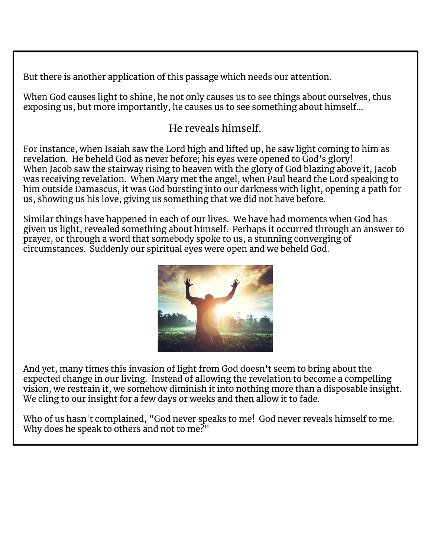But there is another application of this passage which needs our attention.

When God causes light to shine, he not only causes us to see things about ourselves, thus exposing us, but more importantly, he causes us to see something about himself…

#### He reveals himself.

For instance, when Isaiah saw the Lord high and lifted up, he saw light coming to him as revelation. He beheld God as never before; his eyes were opened to God's glory! When Jacob saw the stairway rising to heaven with the glory of God blazing above it, Jacob was receiving revelation. When Mary met the angel, when Paul heard the Lord speaking to him outside Damascus, it was God bursting into our darkness with light, opening a path for us, showing us his love, giving us something that we did not have before.

Similar things have happened in each of our lives. We have had moments when God has given us light, revealed something about himself. Perhaps it occurred through an answer to prayer, or through a word that somebody spoke to us, a stunning converging of circumstances. Suddenly our spiritual eyes were open and we beheld God.



And yet, many times this invasion of light from God doesn't seem to bring about the expected change in our living. Instead of allowing the revelation to become a compelling vision, we restrain it, we somehow diminish it into nothing more than a disposable insight. We cling to our insight for a few days or weeks and then allow it to fade.

Who of us hasn't complained, "God never speaks to me! God never reveals himself to me. Why does he speak to others and not to me?"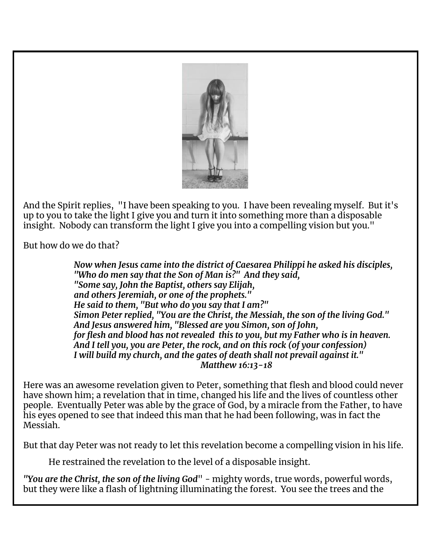

And the Spirit replies, "I have been speaking to you. I have been revealing myself. But it's up to you to take the light I give you and turn it into something more than a disposable insight. Nobody can transform the light I give you into a compelling vision but you."

But how do we do that?

*Now when Jesus came into the district of Caesarea Philippi he asked his disciples, "Who do men say that the Son of Man is?" And they said, "Some say, John the Baptist, others say Elijah, and others Jeremiah, or one of the prophets." He said to them, "But who do you say that I am?" Simon Peter replied, "You are the Christ, the Messiah, the son of the living God." And Jesus answered him, "Blessed are you Simon, son of John, for flesh and blood has not revealed this to you, but my Father who is in heaven. And I tell you, you are Peter, the rock, and on this rock (of your confession) I will build my church, and the gates of death shall not prevail against it." Matthew 16:13-18*

Here was an awesome revelation given to Peter, something that flesh and blood could never have shown him; a revelation that in time, changed his life and the lives of countless other people. Eventually Peter was able by the grace of God, by a miracle from the Father, to have his eyes opened to see that indeed this man that he had been following, was in fact the Messiah.

But that day Peter was not ready to let this revelation become a compelling vision in his life.

He restrained the revelation to the level of a disposable insight.

*"You are the Christ, the son of the living God*" - mighty words, true words, powerful words, but they were like a flash of lightning illuminating the forest. You see the trees and the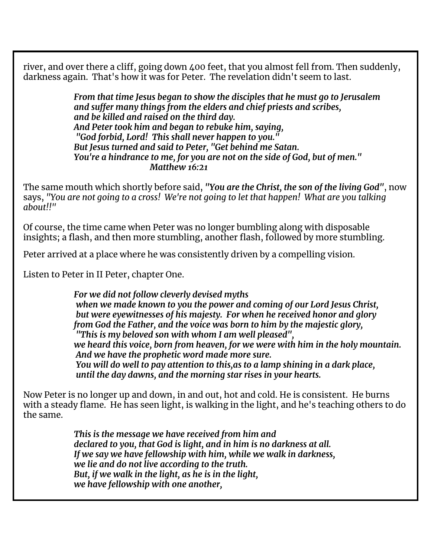river, and over there a cliff, going down 400 feet, that you almost fell from. Then suddenly, darkness again. That's how it was for Peter. The revelation didn't seem to last.

> *From that time Jesus began to show the disciples that he must go to Jerusalem and suffer many things from the elders and chief priests and scribes, and be killed and raised on the third day. And Peter took him and began to rebuke him, saying, "God forbid, Lord! This shall never happen to you." But Jesus turned and said to Peter, "Get behind me Satan. You're a hindrance to me, for you are not on the side of God, but of men." Matthew 16:21*

The same mouth which shortly before said, *"You are the Christ, the son of the living God"*, now says, *"You are not going to a cross! We're not going to let that happen! What are you talking about!!"*

Of course, the time came when Peter was no longer bumbling along with disposable insights; a flash, and then more stumbling, another flash, followed by more stumbling.

Peter arrived at a place where he was consistently driven by a compelling vision.

Listen to Peter in II Peter, chapter One.

*For we did not follow cleverly devised myths when we made known to you the power and coming of our Lord Jesus Christ, but were eyewitnesses of his majesty. For when he received honor and glory from God the Father, and the voice was born to him by the majestic glory, "This is my beloved son with whom I am well pleased", we heard this voice, born from heaven, for we were with him in the holy mountain. And we have the prophetic word made more sure. You will do well to pay attention to this,as to a lamp shining in a dark place, until the day dawns, and the morning star rises in your hearts.*

Now Peter is no longer up and down, in and out, hot and cold. He is consistent. He burns with a steady flame. He has seen light, is walking in the light, and he's teaching others to do the same.

> *This is the message we have received from him and declared to you, that God is light, and in him is no darkness at all. If we say we have fellowship with him, while we walk in darkness, we lie and do not live according to the truth. But, if we walk in the light, as he is in the light, we have fellowship with one another,*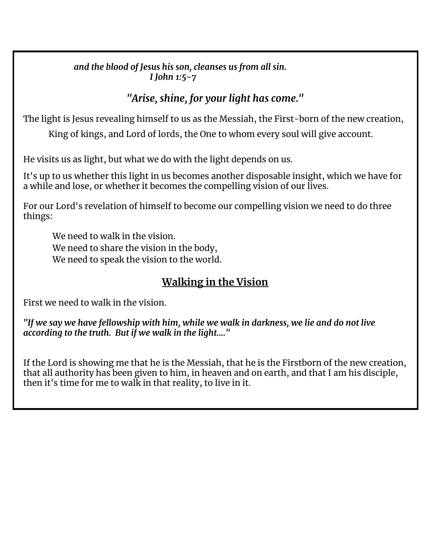*and the blood of Jesus his son, cleanses us from all sin. I John 1:5-7*

*"Arise, shine, for your light has come."*

The light is Jesus revealing himself to us as the Messiah, the First-born of the new creation,

King of kings, and Lord of lords, the One to whom every soul will give account.

He visits us as light, but what we do with the light depends on us.

It's up to us whether this light in us becomes another disposable insight, which we have for a while and lose, or whether it becomes the compelling vision of our lives.

For our Lord's revelation of himself to become our compelling vision we need to do three things:

We need to walk in the vision. We need to share the vision in the body, We need to speak the vision to the world.

## **Walking in the Vision**

First we need to walk in the vision.

*"If we say we have fellowship with him, while we walk in darkness, we lie and do not live according to the truth. But if we walk in the light...."*

If the Lord is showing me that he is the Messiah, that he is the Firstborn of the new creation, that all authority has been given to him, in heaven and on earth, and that I am his disciple, then it's time for me to walk in that reality, to live in it.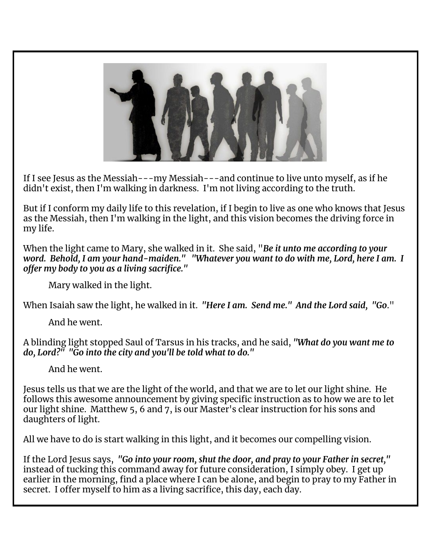

If I see Jesus as the Messiah---my Messiah---and continue to live unto myself, as if he didn't exist, then I'm walking in darkness. I'm not living according to the truth.

But if I conform my daily life to this revelation, if I begin to live as one who knows that Jesus as the Messiah, then I'm walking in the light, and this vision becomes the driving force in my life.

When the light came to Mary, she walked in it. She said, "*Be it unto me according to your word. Behold, I am your hand-maiden." "Whatever you want to do with me, Lord, here I am. I offer my body to you as a living sacrifice."*

Mary walked in the light.

When Isaiah saw the light, he walked in it. *"Here I am. Send me." And the Lord said, "Go*."

And he went.

A blinding light stopped Saul of Tarsus in his tracks, and he said, *"What do you want me to do, Lord?" "Go into the city and you'll be told what to do."*

And he went.

Jesus tells us that we are the light of the world, and that we are to let our light shine. He follows this awesome announcement by giving specific instruction as to how we are to let our light shine. Matthew 5, 6 and 7, is our Master's clear instruction for his sons and daughters of light.

All we have to do is start walking in this light, and it becomes our compelling vision.

If the Lord Jesus says, *"Go into your room, shut the door, and pray to your Father in secret,"* instead of tucking this command away for future consideration, I simply obey. I get up earlier in the morning, find a place where I can be alone, and begin to pray to my Father in secret. I offer myself to him as a living sacrifice, this day, each day.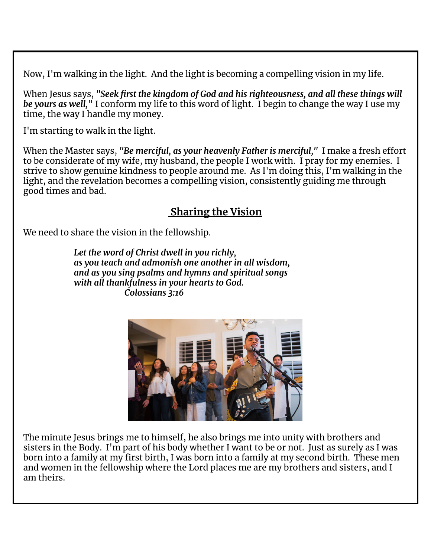Now, I'm walking in the light. And the light is becoming a compelling vision in my life.

When Jesus says, *"Seek first the kingdom of God and his righteousness, and all these things will be yours as well,* " I conform my life to this word of light. I begin to change the way I use my time, the way I handle my money.

I'm starting to walk in the light.

When the Master says, *"Be merciful, as your heavenly Father is merciful,"* I make a fresh effort to be considerate of my wife, my husband, the people I work with. I pray for my enemies. I strive to show genuine kindness to people around me. As I'm doing this, I'm walking in the light, and the revelation becomes a compelling vision, consistently guiding me through good times and bad.

#### **Sharing the Vision**

We need to share the vision in the fellowship.

*Let the word of Christ dwell in you richly, as you teach and admonish one another in all wisdom, and as you sing psalms and hymns and spiritual songs with all thankfulness in your hearts to God. Colossians 3:16*



The minute Jesus brings me to himself, he also brings me into unity with brothers and sisters in the Body. I'm part of his body whether I want to be or not. Just as surely as I was born into a family at my first birth, I was born into a family at my second birth. These men and women in the fellowship where the Lord places me are my brothers and sisters, and I am theirs.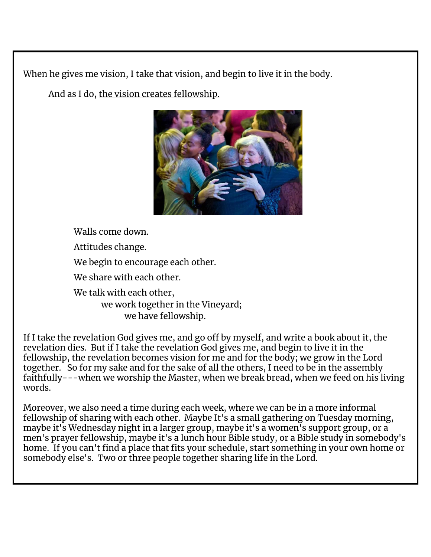When he gives me vision, I take that vision, and begin to live it in the body.

And as I do, the vision creates fellowship.



Walls come down.

Attitudes change.

We begin to encourage each other.

We share with each other.

We talk with each other, we work together in the Vineyard; we have fellowship.

If I take the revelation God gives me, and go off by myself, and write a book about it, the revelation dies. But if I take the revelation God gives me, and begin to live it in the fellowship, the revelation becomes vision for me and for the body; we grow in the Lord together. So for my sake and for the sake of all the others, I need to be in the assembly faithfully---when we worship the Master, when we break bread, when we feed on his living words.

Moreover, we also need a time during each week, where we can be in a more informal fellowship of sharing with each other. Maybe It's a small gathering on Tuesday morning, maybe it's Wednesday night in a larger group, maybe it's a women's support group, or a men's prayer fellowship, maybe it's a lunch hour Bible study, or a Bible study in somebody's home. If you can't find a place that fits your schedule, start something in your own home or somebody else's. Two or three people together sharing life in the Lord.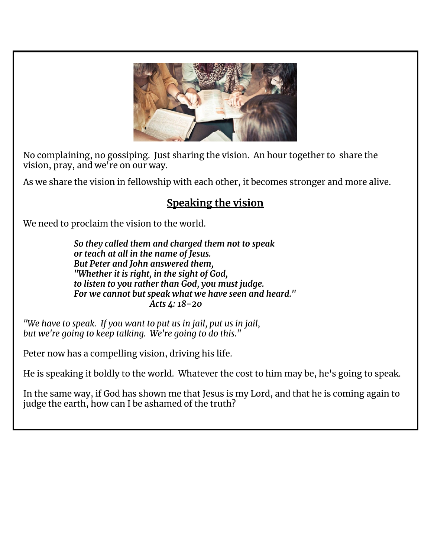

No complaining, no gossiping. Just sharing the vision. An hour together to share the vision, pray, and we're on our way.

As we share the vision in fellowship with each other, it becomes stronger and more alive.

### **Speaking the vision**

We need to proclaim the vision to the world.

*So they called them and charged them not to speak or teach at all in the name of Jesus. But Peter and John answered them, "Whether it is right, in the sight of God, to listen to you rather than God, you must judge. For we cannot but speak what we have seen and heard." Acts 4: 18-20*

*"We have to speak. If you want to put us in jail, put us in jail, but we're going to keep talking. We're going to do this."*

Peter now has a compelling vision, driving his life.

He is speaking it boldly to the world. Whatever the cost to him may be, he's going to speak.

In the same way, if God has shown me that Jesus is my Lord, and that he is coming again to judge the earth, how can I be ashamed of the truth?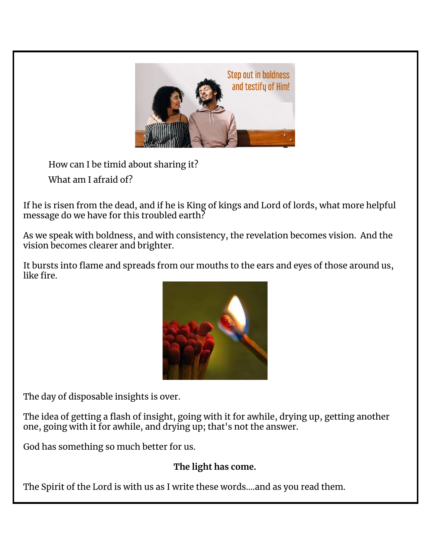

How can I be timid about sharing it? What am I afraid of?

If he is risen from the dead, and if he is King of kings and Lord of lords, what more helpful message do we have for this troubled earth?

As we speak with boldness, and with consistency, the revelation becomes vision. And the vision becomes clearer and brighter.

It bursts into flame and spreads from our mouths to the ears and eyes of those around us, like fire.



The day of disposable insights is over.

The idea of getting a flash of insight, going with it for awhile, drying up, getting another one, going with it for awhile, and drying up; that's not the answer.

God has something so much better for us.

#### **The light has come.**

The Spirit of the Lord is with us as I write these words….and as you read them.